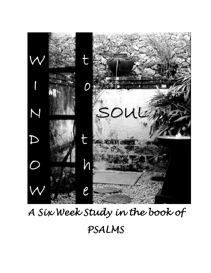

# *A Six Week Study in the book of PSALMS*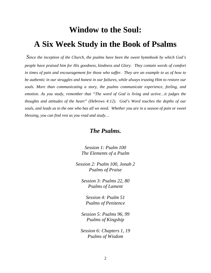## **Window to the Soul: A Six Week Study in the Book of Psalms**

*Since the inception of the Church, the psalms have been the sweet hymnbook by which God's people have praised him for His goodness, kindness and Glory. They contain words of comfort*  in times of pain and encouragement for those who suffer. They are an example to us of how to *be authentic in our struggles and honest in our failures, while always trusting Him to restore our souls. More than communicating a story, the psalms communicate experience, feeling, and emotion. As you study, remember that "The word of God is living and active…it judges the thoughts and attitudes of the heart" (Hebrews 4:12). God's Word touches the depths of our souls, and leads us to the one who has all we need. Whether you are in a season of pain or sweet blessing, you can find rest as you read and study…* 

## *The Psalms.*

*Session 1: Psalm 100 The Elements of a Psalm* 

*Session 2: Psalm 100, Jonah 2 Psalms of Praise* 

*Session 3: Psalms 22, 80 Psalms of Lament* 

*Session 4: Psalm 51 Psalms of Penitence* 

*Session 5: Psalms 96, 99 Psalms of Kingship* 

*Session 6: Chapters 1, 19 Psalms of Wisdom*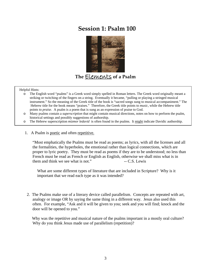## **Session 1: Psalm 100**



**The** Elements **of a Psalm** 

#### Helpful Hints:

- o The English word "psalms" is a Greek word simply spelled in Roman letters. The Greek word originally meant a striking or twitching of the fingers on a string. Eventually it became, "pulling or playing a stringed musical instrument." So the meaning of the Greek title of the book is "sacred songs sung to musical accompaniment." The Hebrew title for the book means "praises." Therefore, the Greek title points to *music*, while the Hebrew title points to *praise*. A psalm is a poem that is sung as an expression of praise to God.
- o Many psalms contain a *superscription* that might contain musical directions, notes on how to perform the psalm, historical settings and possibly suggestions of authorship.
- o The Hebrew superscription *mizmor ledavid* is often found in the psalms. It might indicate Davidic authorship.
- 1. A Psalm is poetic and often repetitive.

"Most emphatically the Psalms must be read as poems; as lyrics, with all the licenses and all the formalities, the hyperboles, the emotional rather than logical connections, which are proper to lyric poetry. They must be read as poems if they are to be understood; no less than French must be read as French or English as English, otherwise we shall miss what is in them and think we see what is not." $\sim$  -- C.S. Lewis

 What are some different types of literature that are included in Scripture? Why is it important that we read each type as it was intended?

 2. The Psalms make use of a literary device called parallelism. Concepts are repeated with art, analogy or image OR by saying the same thing in a different way. Jesus also used this often. For example, "Ask and it will be given to you; seek and you will find; knock and the door will be opened to you."

 Why was the repetitive and musical nature of the psalms important in a mostly oral culture? Why do you think Jesus made use of parallelism (repetition)?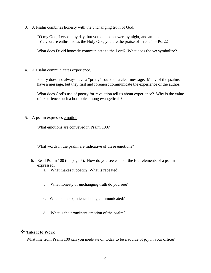3. A Psalm combines honesty with the unchanging truth of God.

"O my God, I cry out by day, but you do not answer, by night, and am not silent. *Yet* you are enthroned as the Holy One; you are the praise of Israel." - Ps. 22

What does David honestly communicate to the Lord? What does the *yet* symbolize?

4. A Psalm communicates experience.

Poetry does not always have a "pretty" sound or a clear message. Many of the psalms have a message, but they first and foremost communicate the experience of the author.

What does God's use of poetry for revelation tell us about experience? Why is the value of experience such a hot topic among evangelicals?

5. A psalm expresses emotion.

What emotions are conveyed in Psalm 100?

What words in the psalm are indicative of these emotions?

- 6. Read Psalm 100 (on page 5). How do you see each of the four elements of a psalm expressed?
	- a. What makes it poetic? What is repeated?
	- b. What honesty or unchanging truth do you see?
	- c. What is the experience being communicated?
	- d. What is the prominent emotion of the psalm?

## **Take it to Work**

What line from Psalm 100 can you meditate on today to be a source of joy in your office?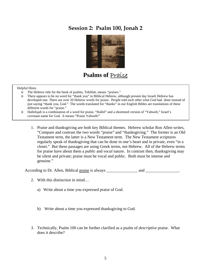## **Session 2: Psalm 100, Jonah 2**



## Psalms of **Praise**

#### Helpful Hints:

- 
- o The Hebrew title for the book of psalms, Tehillah, means "praises."<br>
o There appears to be no word for "thank you" in Biblical Hebrew. all There appears to be no word for "thank you" in Biblical Hebrew, although present day Israeli Hebrew has developed one. There are over 20 Hebrew words for praise. People told each other what God had done instead of just saying "thank you, God." The words translated for "thanks" in our English Bibles are translations of these different words for "praise."
- o Hallelujah is a combination of a word for praise, "Hallel" and a shortened version of "Yahweh," Israel's covenant name for God. It means "Praise Yahweh!"
	- 1. Praise and thanksgiving are both key Biblical themes. Hebrew scholar Ron Allen writes, "Compare and contrast the two words "praise" and "thanksgiving." The former is an Old Testament term, the latter is a New Testament term. The New Testament scriptures regularly speak of thanksgiving that can be done in one's heart and in private, even "in a closet." But these passages are using Greek terms, not Hebrew. All of the Hebrew terms for praise have about them a *public* and *vocal* nature. In contrast then, thanksgiving may be silent and private; praise must be vocal and public. Both must be intense and genuine."

According to Dr. Allen, Biblical praise is always \_\_\_\_\_\_\_\_\_\_\_\_\_\_\_\_\_\_\_\_\_\_\_\_\_\_\_\_\_\_.

- 2. With this distinction in mind…
	- a) Write about a time you expressed praise of God.
	- b) Write about a time you expressed thanksgiving to God.
- 3. Technically, Psalm 100 can be further clarified as a psalm of *descriptive* praise. What does it describe?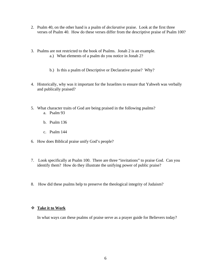- 2. Psalm 40, on the other hand is a psalm of *declarative* praise. Look at the first three verses of Psalm 40. How do these verses differ from the descriptive praise of Psalm 100?
- 3. Psalms are not restricted to the book of Psalms. Jonah 2 is an example.
	- a.) What elements of a psalm do you notice in Jonah 2?
	- b.) Is this a psalm of Descriptive or Declarative praise? Why?
- 4. Historically, why was it important for the Israelites to ensure that Yahweh was verbally and publically praised?
- 5. What character traits of God are being praised in the following psalms? a. Psalm 93
	- b. Psalm 136
	- c. Psalm 144
- 6. How does Biblical praise unify God's people?
- 7. Look specifically at Psalm 100. There are three "invitations" to praise God. Can you identify them? How do they illustrate the unifying power of public praise?
- 8. How did these psalms help to preserve the theological integrity of Judaism?

## **Take it to Work**

In what ways can these psalms of praise serve as a prayer guide for Believers today?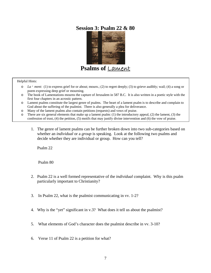## **Ses[sion 3: Psalm 22 &](http://www.hands-on.com/image/thumb/ancient2_coins.jpg) 80**



**P[salms of](http://www.hands-on.com/image/thumb/ancient2_coins.jpg)** Lament

#### Helpful Hints:

- o *La · ment*: (1) to express grief for or about; mourn.; (2) to regret deeply; (3) to grieve audibly; wail; (4) a song or poem expressing deep grief or mourning.
- o The book of Lamentations mourns the capture of Jerusalem in 587 B.C. It is also written in a poetic style with the first four chapters in an acrostic pattern.
- o Lament psalms constitute the largest genre of psalms. The heart of a lament psalm is to describe and complain to God about the suffering of the psalmist. There is also generally a plea for deliverance.
- o Many of the lament psalms also contain petitions (requests) and vows of praise.
- o There are six general elements that make up a lament psalm: (1) the introductory appeal, (2) the lament, (3) the confession of trust, (4) the petition, (5) motifs that may justify divine intervention and (6) the vow of praise.
	- 1. The genre of lament psalms can be further broken down into two sub-categories based on whether an *individual* or a *group* is speaking. Look at the following two psalms and decide whether they are individual or group. How can you tell?

Psalm 22

Psalm 80

- 2. Psalm 22 is a well formed representative of the *individual* complaint. Why is this psalm particularly important to Christianity?
- 3. In Psalm 22, what is the psalmist communicating in vv. 1-2?
- 4. Why is the "yet" significant in v.3? What does it tell us about the psalmist?
- 5. What elements of God's character does the psalmist describe in vv. 3-10?
- 6. Verse 11 of Psalm 22 is a petition for what?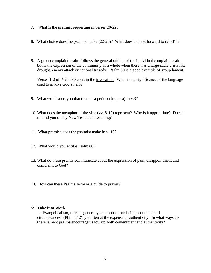- 7. What is the psalmist requesting in verses 20-22?
- 8. What choice does the psalmist make (22-25)? What does he look forward to (26-31)?
- 9. A group complaint psalm follows the general outline of the individual complaint psalm but is the expression of the community as a whole when there was a large-scale crisis like drought, enemy attack or national tragedy. Psalm 80 is a good example of group lament.

Verses 1-2 of Psalm 80 contain the invocation. What is the significance of the language used to invoke God's help?

- 9. What words alert you that there is a petition (request) in v.3?
- 10. What does the metaphor of the vine (vv. 8-12) represent? Why is it appropriate? Does it remind you of any New Testament teaching?
- 11. What promise does the psalmist make in v. 18?
- 12. What would you entitle Psalm 80?
- 13. What do these psalms communicate about the expression of pain, disappointment and complaint to God?
- 14. How can these Psalms serve as a guide to prayer?

#### **Take it to Work**

 In Evangelicalism, there is generally an emphasis on being "content in all circumstances" (Phil. 4:12), yet often at the expense of authenticity. In what ways do these lament psalms encourage us toward both contentment and authenticity?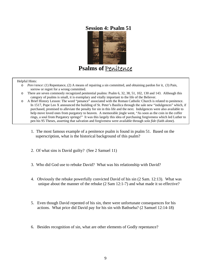## **[Session 4: Psalm 5](http://www.hands-on.com/image/thumb/ancient2_coins.jpg)1**



**Ps[alms of](http://www.hands-on.com/image/thumb/ancient2_coins.jpg)** Penitence

#### Helpful Hints:

- o *Pen·i·tence*: (1) Repentance, (2) A means of repairing a sin committed, and obtaining pardon for it, (3) Pain, sorrow or regret for a wrong committed.
- o There are seven commonly recognized penitential psalms: Psalm 6, 32, 38, 51, 102, 130 and 143. Although this category of psalms is small, it is exemplary and vitally important to the life of the Believer.
- o A Brief History Lesson: The word "penance" associated with the Roman Catholic Church is related to penitence. In 1517, Pope Leo X announced the building of St. Peter's Basilica through the sale new "indulgences" which, if purchased, promised to alleviate the penalty for sin in this life and the next. Indulgences were also available to help move loved ones from purgatory to heaven. A memorable jingle went, "As soon as the coin in the coffer rings, a soul from Purgatory springs!" It was this largely this idea of purchasing forgiveness which led Luther to pen his 95 Theses, asserting that salvation and forgiveness were available through *sola fide* (faith alone).
	- 1. The most famous example of a penitence psalm is found in psalm 51. Based on the superscription, what is the historical background of this psalm?
	- 2. Of what sins is David guilty? (See 2 Samuel 11)
	- 3. Who did God use to rebuke David? What was his relationship with David?
	- 4. Obviously the rebuke powerfully convicted David of his sin (2 Sam. 12:13). What was unique about the manner of the rebuke (2 Sam 12:1-7) and what made it so effective?
	- 5. Even though David repented of his sin, there were unfortunate consequences for his actions. What price did David pay for his sin with Bathseba? (2 Samuel 12:14-18)
	- 6. Besides recognition of sin, what are other elements of Godly repentance?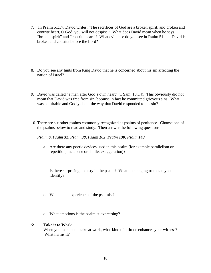- 7. In Psalm 51:17, David writes, "The sacrifices of God are a broken spirit; and broken and contrite heart, O God, you will not despise." What does David mean when he says "broken spirit" and "contrite heart"? What evidence do you see in Psalm 51 that David is broken and contrite before the Lord?
- 8. Do you see any hints from King David that he is concerned about his sin affecting the nation of Israel?
- 9. David was called "a man after God's own heart" (1 Sam. 13:14). This obviously did not mean that David was free from sin, because in fact he committed grievous sins. What was admirable and Godly about the way that David responded to his sin?
- 10. There are six other psalms commonly recognized as psalms of penitence. Choose one of the psalms below to read and study. Then answer the following questions.

## *Psalm 6, Psalm 32, Psalm 38, Psalm 102, Psalm 130, Psalm 143*

- a. Are there any poetic devices used in this psalm (for example parallelism or repetition, metaphor or simile, exaggeration)?
- b. Is there surprising honesty in the psalm? What unchanging truth can you identify?
- c. What is the experience of the psalmist?
- d. What emotions is the psalmist expressing?

## **Take it to Work**

 When you make a mistake at work, what kind of attitude enhances your witness? What harms it?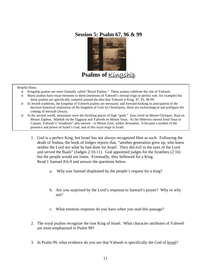## **Sessi[on 5: Psalm 67, 96](http://www.hands-on.com/image/thumb/ancient2_coins.jpg) & 99**



 **P[salms of](http://www.hands-on.com/image/thumb/ancient2_coins.jpg)** Kingship

#### Helpful Hints:

- o Kingship psalms are more formally called "Royal Psalms." These psalms celebrate the rule of Yahweh.
- o Many psalms have royal elements to them (mentions of Yahweh's eternal reign or perfect rule, for example) but these psalms are specifically centered around the idea that Yahweh is King: 47, 93, 96-99.
- o In Jewish traditions, the kingship of Yahweh psalms are messianic and forward-looking in anticipation of the decisive historical realization of the kingdom of God. In Christianity, these are eschatological and prefigure the coming of messiah (Jesus).
- o In the ancient world, mountains were the dwelling places of high "gods." Zeus lived on Mount Olympus, Baal on Mount Zaphon, Marduk on the Ziggurat and Yahweh on Mount Sinai. As the Hebrews moved from Sinai to Canaan, Yahweh's "residence" also moved – to Mount Zion, within Jerusalem. It became a symbol of the presence and power of Israel's God, and of His royal reign in Israel.
	- 1. God is a perfect King, but Israel has not always recognized Him as such. Following the death of Joshua, the book of Judges reports that, "another generation grew up, who knew neither the Lord nor what he had done for Israel. They did evil in the eyes of the Lord and served the Baals" (Judges 2:10-11). God appointed judges for the Israelites (2:16) but the people would not listen. Eventually, they bellowed for a King. Read 1 Samuel 8:6-9 and answer the questions below.
		- a. Why was Samuel displeased by the people's request for a king?
		- b. Are you surprised by the Lord's response to Samuel's prayer? Why or why not?
		- c. What emotion response do you have when you read this passage?
	- 2. The royal psalms recognize the true King of Israel. What character attributes of Yahweh are most emphasized in Psalm 99?
	- 3. In Psalm 99, what evidence do you see that Yahweh is specifically the God of Israel?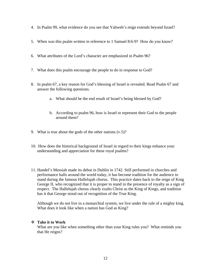- 4. In Psalm 99, what evidence do you see that Yahweh's reign extends beyond Israel?
- 5. When was this psalm written in reference to 1 Samuel 8:6-9? How do you know?
- 6. What attributes of the Lord's character are emphasized in Psalm 96?
- 7. What does this psalm encourage the people to do in response to God?
- 8. In psalm 67, a key reason for God's blessing of Israel is revealed. Read Psalm 67 and answer the following questions.
	- a. What should be the end result of Israel's being blessed by God?
	- b. According to psalm 96, how is Israel to represent their God to the people around them?
- 9. What is true about the gods of the other nations  $(v.5)$ ?
- 10. How does the historical background of Israel in regard to their kings enhance your understanding and appreciation for these royal psalms?
- 11. Handel's Messiah made its debut in Dublin in 1742. Still performed in churches and performance halls around the world today, it has become tradition for the audience to stand during the famous Hallelujah chorus. This practice dates back to the reign of King George II, who recognized that it is proper to stand in the presence of royalty as a sign of respect. The Hallelujah chorus clearly exalts Christ as the King of Kings, and tradition has it that George stood out of recognition of the True King.

Although we do not live in a monarchial system, we live under the rule of a mighty king. What does it look like when a nation has God as King?

## **Take it to Work**

What are you like when something other than your King rules you? What reminds you that He reigns?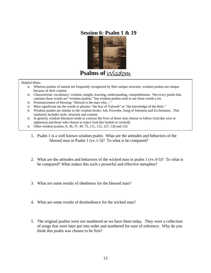## **Se[ssion 6: Psalm 1 &](http://www.hands-on.com/image/thumb/ancient2_coins.jpg) 19**



**Ps[alms of](http://www.hands-on.com/image/thumb/ancient2_coins.jpg)** Wisdom

#### Helpful Hints:

- o Whereas psalms of lament are frequently recognized by their unique structure, wisdom psalms are unique because of their content.
- o Characteristic vocabulary: wisdom, insight, learning, understanding, comprehension. Not every psalm that contains these words are "wisdom psalms," but wisdom psalms tend to use these words a lot.
- o Pronouncement of blessing: "blessed is the man who…"
- o Most significant are the words or phrases "the fear of Yahweh" or "the knowledge of the Holy."
- o Wisdom psalms are similar to the wisdom books: Job, Proverbs, Song of Solomon and Ecclesiastes. This similarity includes style, structure and content.
- o In general, wisdom literature tends to contrast the lives of those who choose to follow God (the wise or righteous) and those who choose to reject God (the foolish or wicked).
- o Other wisdom psalms: 8, 36, 37, 49, 73, 111, 112, 127, 128 and 133.
	- 1. Psalm 1 is a well known wisdom psalm. What are the attitudes and behaviors of the blessed man in Psalm 1 (vv.1-3)? To what is he compared?
	- 2. What are the attitudes and behaviors of the wicked man in psalm 1 (vv.4-5)? To what is he compared? What makes this such a powerful and effective metaphor?
	- 3. What are some results of obedience for the blessed man?
	- 4. What are some results of disobedience for the wicked man?
	- 5. The original psalms were not numbered as we have them today. They were a collection of songs that were later put into order and numbered for ease of reference. Why do you think this psalm was chosen to be first?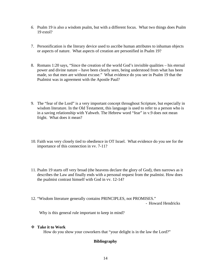- *6.* Psalm 19 is also a wisdom psalm, but with a different focus. What two things does Psalm 19 extol?
- 7. Personification is the literary device used to ascribe human attributes to inhuman objects or aspects of nature. What aspects of creation are personified in Psalm 19?
- . Romans 1:20 says, "Since the creation of the world God's invisible qualities his eternal 8 power and divine nature – have been clearly seen, being understood from what has been made, so that men are without excuse." What evidence do you see in Psalm 19 that the Psalmist was in agreement with the Apostle Paul?
- 9. The "fear of the Lord" is a very important concept throughout Scripture, but especially in wisdom literature. In the Old Testament, this language is used to refer to a person who is in a saving relationship with Yahweh. The Hebrew word "fear" in v.9 does not mean fright. What does it mean?
- 10. Faith was very closely tied to obedience in OT Israel. What evidence do you see for the importance of this connection in vv. 7-11?
- 11. Psalm 19 starts off very broad (the heavens declare the glory of God), then narrows as it describes the Law and finally ends with a personal request from the psalmist. How does the psalmist contrast himself with God in vv. 12-14?
- 12. "Wisdom literature generally contains PRINCIPLES, not PROMISES."

- Howard Hendricks

Why is this general rule important to keep in mind?

## **Take it to Work**

How do you show your coworkers that "your delight is in the law the Lord?"

## **Bibliography**